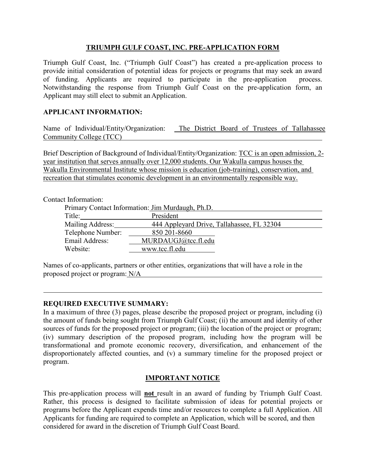## **TRIUMPH GULF COAST, INC. PRE-APPLICATION FORM**

Triumph Gulf Coast, Inc. ("Triumph Gulf Coast") has created a pre-application process to provide initial consideration of potential ideas for projects or programs that may seek an award of funding. Applicants are required to participate in the pre-application process. Notwithstanding the response from Triumph Gulf Coast on the pre-application form, an Applicant may still elect to submit an Application.

## **APPLICANT INFORMATION:**

Name of Individual/Entity/Organization: The District Board of Trustees of Tallahassee Community College (TCC)

Brief Description of Background of Individual/Entity/Organization: TCC is an open admission, 2 year institution that serves annually over 12,000 students. Our Wakulla campus houses the Wakulla Environmental Institute whose mission is education (job-training), conservation, and recreation that stimulates economic development in an environmentally responsible way.

#### Contact Information:

| Primary Contact Information: Jim Murdaugh, Ph.D. |                                            |  |  |  |
|--------------------------------------------------|--------------------------------------------|--|--|--|
| Title:                                           | President                                  |  |  |  |
| Mailing Address:                                 | 444 Appleyard Drive, Tallahassee, FL 32304 |  |  |  |
| Telephone Number:                                | 850 201-8660                               |  |  |  |
| Email Address:                                   | MURDAUGJ@tcc.fl.edu                        |  |  |  |
| Website:                                         | www.tcc.fl.edu                             |  |  |  |

Names of co-applicants, partners or other entities, organizations that will have a role in the proposed project or program: N/A

## **REQUIRED EXECUTIVE SUMMARY:**

In a maximum of three (3) pages, please describe the proposed project or program, including (i) the amount of funds being sought from Triumph Gulf Coast; (ii) the amount and identity of other sources of funds for the proposed project or program; (iii) the location of the project or program; (iv) summary description of the proposed program, including how the program will be transformational and promote economic recovery, diversification, and enhancement of the disproportionately affected counties, and (v) a summary timeline for the proposed project or program.

# **IMPORTANT NOTICE**

This pre-application process will **not** result in an award of funding by Triumph Gulf Coast. Rather, this process is designed to facilitate submission of ideas for potential projects or programs before the Applicant expends time and/or resources to complete a full Application. All Applicants for funding are required to complete an Application, which will be scored, and then considered for award in the discretion of Triumph Gulf Coast Board.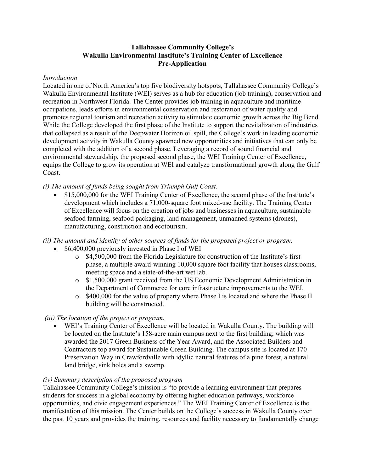## **Tallahassee Community College's Wakulla Environmental Institute's Training Center of Excellence Pre-Application**

#### *Introduction*

Located in one of North America's top five biodiversity hotspots, Tallahassee Community College's Wakulla Environmental Institute (WEI) serves as a hub for education (job training), conservation and recreation in Northwest Florida. The Center provides job training in aquaculture and maritime occupations, leads efforts in environmental conservation and restoration of water quality and promotes regional tourism and recreation activity to stimulate economic growth across the Big Bend. While the College developed the first phase of the Institute to support the revitalization of industries that collapsed as a result of the Deepwater Horizon oil spill, the College's work in leading economic development activity in Wakulla County spawned new opportunities and initiatives that can only be completed with the addition of a second phase. Leveraging a record of sound financial and environmental stewardship, the proposed second phase, the WEI Training Center of Excellence, equips the College to grow its operation at WEI and catalyze transformational growth along the Gulf Coast.

*(i) The amount of funds being sought from Triumph Gulf Coast.*

• \$15,000,000 for the WEI Training Center of Excellence, the second phase of the Institute's development which includes a 71,000-square foot mixed-use facility. The Training Center of Excellence will focus on the creation of jobs and businesses in aquaculture, sustainable seafood farming, seafood packaging, land management, unmanned systems (drones), manufacturing, construction and ecotourism.

## *(ii) The amount and identity of other sources of funds for the proposed project or program.*

- \$6,400,000 previously invested in Phase I of WEI
	- $\circ$  \$4,500,000 from the Florida Legislature for construction of the Institute's first phase, a multiple award-winning 10,000 square foot facility that houses classrooms, meeting space and a state-of-the-art wet lab.
	- o \$1,500,000 grant received from the US Economic Development Administration in the Department of Commerce for core infrastructure improvements to the WEI.
	- o \$400,000 for the value of property where Phase I is located and where the Phase II building will be constructed.

## *(iii) The location of the project or program*.

• WEI's Training Center of Excellence will be located in Wakulla County. The building will be located on the Institute's 158-acre main campus next to the first building; which was awarded the 2017 Green Business of the Year Award, and the Associated Builders and Contractors top award for Sustainable Green Building. The campus site is located at 170 Preservation Way in Crawfordville with idyllic natural features of a pine forest, a natural land bridge, sink holes and a swamp.

## *(iv) Summary description of the proposed program*

Tallahassee Community College's mission is "to provide a learning environment that prepares students for success in a global economy by offering higher education pathways, workforce opportunities, and civic engagement experiences." The WEI Training Center of Excellence is the manifestation of this mission. The Center builds on the College's success in Wakulla County over the past 10 years and provides the training, resources and facility necessary to fundamentally change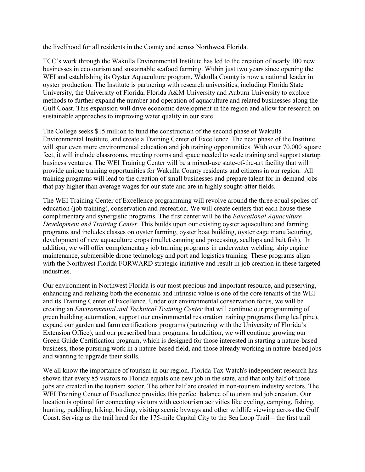the livelihood for all residents in the County and across Northwest Florida.

TCC's work through the Wakulla Environmental Institute has led to the creation of nearly 100 new businesses in ecotourism and sustainable seafood farming. Within just two years since opening the WEI and establishing its Oyster Aquaculture program, Wakulla County is now a national leader in oyster production. The Institute is partnering with research universities, including Florida State University, the University of Florida, Florida A&M University and Auburn University to explore methods to further expand the number and operation of aquaculture and related businesses along the Gulf Coast. This expansion will drive economic development in the region and allow for research on sustainable approaches to improving water quality in our state.

The College seeks \$15 million to fund the construction of the second phase of Wakulla Environmental Institute, and create a Training Center of Excellence. The next phase of the Institute will spur even more environmental education and job training opportunities. With over 70,000 square feet, it will include classrooms, meeting rooms and space needed to scale training and support startup business ventures. The WEI Training Center will be a mixed-use state-of-the-art facility that will provide unique training opportunities for Wakulla County residents and citizens in our region. All training programs will lead to the creation of small businesses and prepare talent for in-demand jobs that pay higher than average wages for our state and are in highly sought-after fields.

The WEI Training Center of Excellence programming will revolve around the three equal spokes of education (job training), conservation and recreation. We will create centers that each house these complimentary and synergistic programs. The first center will be the *Educational Aquaculture Development and Training Center*. This builds upon our existing oyster aquaculture and farming programs and includes classes on oyster farming, oyster boat building, oyster cage manufacturing, development of new aquaculture crops (mullet canning and processing, scallops and bait fish). In addition, we will offer complementary job training programs in underwater welding, ship engine maintenance, submersible drone technology and port and logistics training. These programs align with the Northwest Florida FORWARD strategic initiative and result in job creation in these targeted industries.

Our environment in Northwest Florida is our most precious and important resource, and preserving, enhancing and realizing both the economic and intrinsic value is one of the core tenants of the WEI and its Training Center of Excellence. Under our environmental conservation focus, we will be creating an *Environmental and Technical Training Center* that will continue our programming of green building automation, support our environmental restoration training programs (long leaf pine), expand our garden and farm certifications programs (partnering with the University of Florida's Extension Office), and our prescribed burn programs. In addition, we will continue growing our Green Guide Certification program, which is designed for those interested in starting a nature-based business, those pursuing work in a nature-based field, and those already working in nature-based jobs and wanting to upgrade their skills.

We all know the importance of tourism in our region. Florida Tax Watch's independent research has shown that [every 85 visitors to Florida equals one new job in the state,](http://floridataxwatch.org/resources/pdf/2013TourismFINAL.pdf) and that only half of those jobs are created in the tourism sector. The other half are [created in non-tourism industry sectors.](http://floridataxwatch.org/resources/pdf/UnpackingTourismFINAL.pdf) The WEI Training Center of Excellence provides this perfect balance of tourism and job creation. Our location is optimal for connecting visitors with ecotourism activities like cycling, camping, fishing, hunting, paddling, hiking, birding, visiting scenic byways and other wildlife viewing across the Gulf Coast. Serving as the trail head for the 175-mile Capital City to the Sea Loop Trail – the first trail